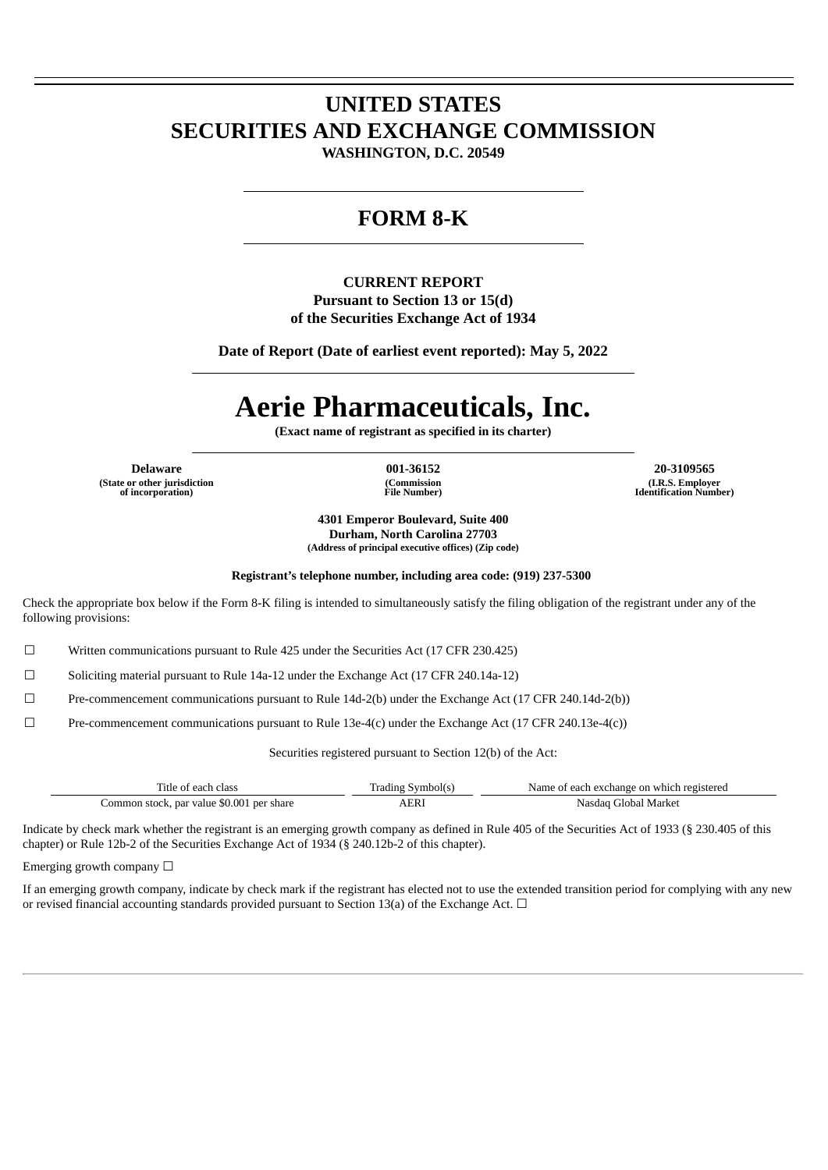# **UNITED STATES SECURITIES AND EXCHANGE COMMISSION**

**WASHINGTON, D.C. 20549**

## **FORM 8-K**

#### **CURRENT REPORT Pursuant to Section 13 or 15(d) of the Securities Exchange Act of 1934**

**Date of Report (Date of earliest event reported): May 5, 2022**

# **Aerie Pharmaceuticals, Inc.**

**(Exact name of registrant as specified in its charter)**

**(State or other jurisdiction of incorporation)**

**(Commission File Number)**

**Delaware 001-36152 20-3109565 (I.R.S. Employer Identification Number)**

> **4301 Emperor Boulevard, Suite 400 Durham, North Carolina 27703 (Address of principal executive offices) (Zip code)**

**Registrant's telephone number, including area code: (919) 237-5300**

Check the appropriate box below if the Form 8-K filing is intended to simultaneously satisfy the filing obligation of the registrant under any of the following provisions:

☐ Written communications pursuant to Rule 425 under the Securities Act (17 CFR 230.425)

☐ Soliciting material pursuant to Rule 14a-12 under the Exchange Act (17 CFR 240.14a-12)

☐ Pre-commencement communications pursuant to Rule 14d-2(b) under the Exchange Act (17 CFR 240.14d-2(b))

 $\Box$  Pre-commencement communications pursuant to Rule 13e-4(c) under the Exchange Act (17 CFR 240.13e-4(c))

Securities registered pursuant to Section 12(b) of the Act:

| Title of each class                       | Trading Symbol(s) | Name of each exchange on which registered |
|-------------------------------------------|-------------------|-------------------------------------------|
| Common stock, par value \$0.001 per share | AERI              | Nasdag Global Market                      |

Indicate by check mark whether the registrant is an emerging growth company as defined in Rule 405 of the Securities Act of 1933 (§ 230.405 of this chapter) or Rule 12b-2 of the Securities Exchange Act of 1934 (§ 240.12b-2 of this chapter).

Emerging growth company  $\Box$ 

If an emerging growth company, indicate by check mark if the registrant has elected not to use the extended transition period for complying with any new or revised financial accounting standards provided pursuant to Section 13(a) of the Exchange Act.  $\Box$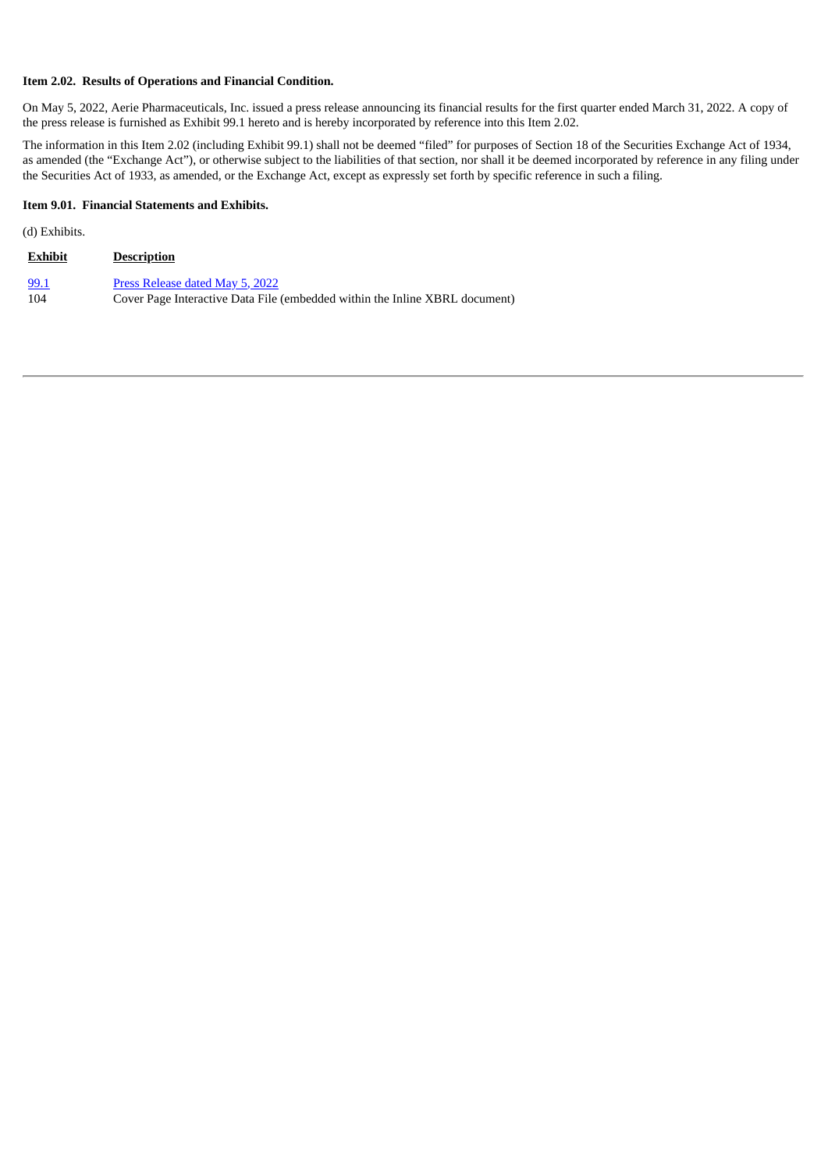#### **Item 2.02. Results of Operations and Financial Condition.**

On May 5, 2022, Aerie Pharmaceuticals, Inc. issued a press release announcing its financial results for the first quarter ended March 31, 2022. A copy of the press release is furnished as Exhibit 99.1 hereto and is hereby incorporated by reference into this Item 2.02.

The information in this Item 2.02 (including Exhibit 99.1) shall not be deemed "filed" for purposes of Section 18 of the Securities Exchange Act of 1934, as amended (the "Exchange Act"), or otherwise subject to the liabilities of that section, nor shall it be deemed incorporated by reference in any filing under the Securities Act of 1933, as amended, or the Exchange Act, except as expressly set forth by specific reference in such a filing.

#### **Item 9.01. Financial Statements and Exhibits.**

(d) Exhibits.

**Exhibit Description**

| ----------- | _______                                                                     |
|-------------|-----------------------------------------------------------------------------|
| 99.1        | <u>Press Release dated May 5, 2022</u>                                      |
| -104        | Cover Page Interactive Data File (embedded within the Inline XBRL document) |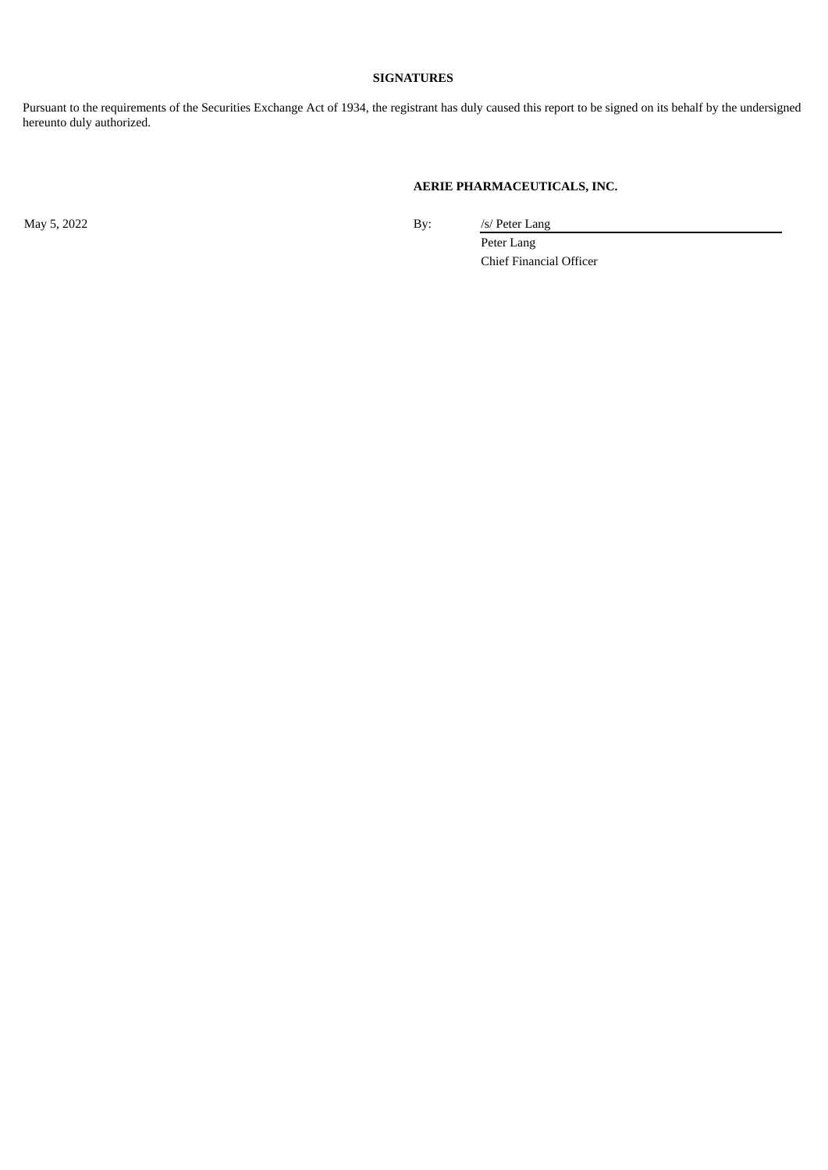#### **SIGNATURES**

Pursuant to the requirements of the Securities Exchange Act of 1934, the registrant has duly caused this report to be signed on its behalf by the undersigned hereunto duly authorized.

#### **AERIE PHARMACEUTICALS, INC.**

May 5, 2022 <br>By: /s/ Peter Lang

Peter Lang Chief Financial Officer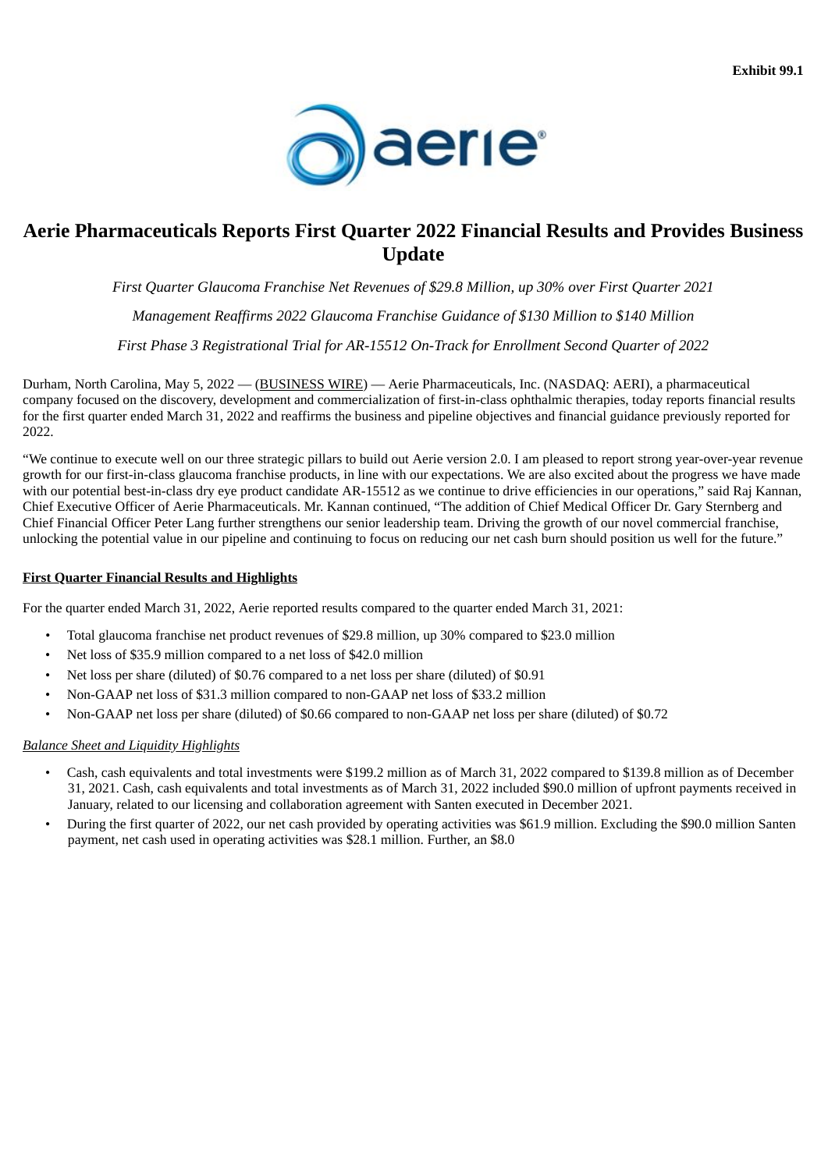

## <span id="page-3-0"></span>**Aerie Pharmaceuticals Reports First Quarter 2022 Financial Results and Provides Business Update**

*First Quarter Glaucoma Franchise Net Revenues of \$29.8 Million, up 30% over First Quarter 2021*

*Management Reaffirms 2022 Glaucoma Franchise Guidance of \$130 Million to \$140 Million*

*First Phase 3 Registrational Trial for AR-15512 On-Track for Enrollment Second Quarter of 2022*

Durham, North Carolina, May 5, 2022 — (BUSINESS WIRE) — Aerie Pharmaceuticals, Inc. (NASDAQ: AERI), a pharmaceutical company focused on the discovery, development and commercialization of first-in-class ophthalmic therapies, today reports financial results for the first quarter ended March 31, 2022 and reaffirms the business and pipeline objectives and financial guidance previously reported for 2022.

"We continue to execute well on our three strategic pillars to build out Aerie version 2.0. I am pleased to report strong year-over-year revenue growth for our first-in-class glaucoma franchise products, in line with our expectations. We are also excited about the progress we have made with our potential best-in-class dry eye product candidate AR-15512 as we continue to drive efficiencies in our operations," said Raj Kannan, Chief Executive Officer of Aerie Pharmaceuticals. Mr. Kannan continued, "The addition of Chief Medical Officer Dr. Gary Sternberg and Chief Financial Officer Peter Lang further strengthens our senior leadership team. Driving the growth of our novel commercial franchise, unlocking the potential value in our pipeline and continuing to focus on reducing our net cash burn should position us well for the future."

#### **First Quarter Financial Results and Highlights**

For the quarter ended March 31, 2022, Aerie reported results compared to the quarter ended March 31, 2021:

- *•* Total glaucoma franchise net product revenues of \$29.8 million, up 30% compared to \$23.0 million
- Net loss of \$35.9 million compared to a net loss of \$42.0 million
- Net loss per share (diluted) of \$0.76 compared to a net loss per share (diluted) of \$0.91
- Non-GAAP net loss of \$31.3 million compared to non-GAAP net loss of \$33.2 million
- Non-GAAP net loss per share (diluted) of \$0.66 compared to non-GAAP net loss per share (diluted) of \$0.72

#### *Balance Sheet and Liquidity Highlights*

- Cash, cash equivalents and total investments were \$199.2 million as of March 31, 2022 compared to \$139.8 million as of December 31, 2021. Cash, cash equivalents and total investments as of March 31, 2022 included \$90.0 million of upfront payments received in January, related to our licensing and collaboration agreement with Santen executed in December 2021.
- During the first quarter of 2022, our net cash provided by operating activities was \$61.9 million. Excluding the \$90.0 million Santen payment, net cash used in operating activities was \$28.1 million. Further, an \$8.0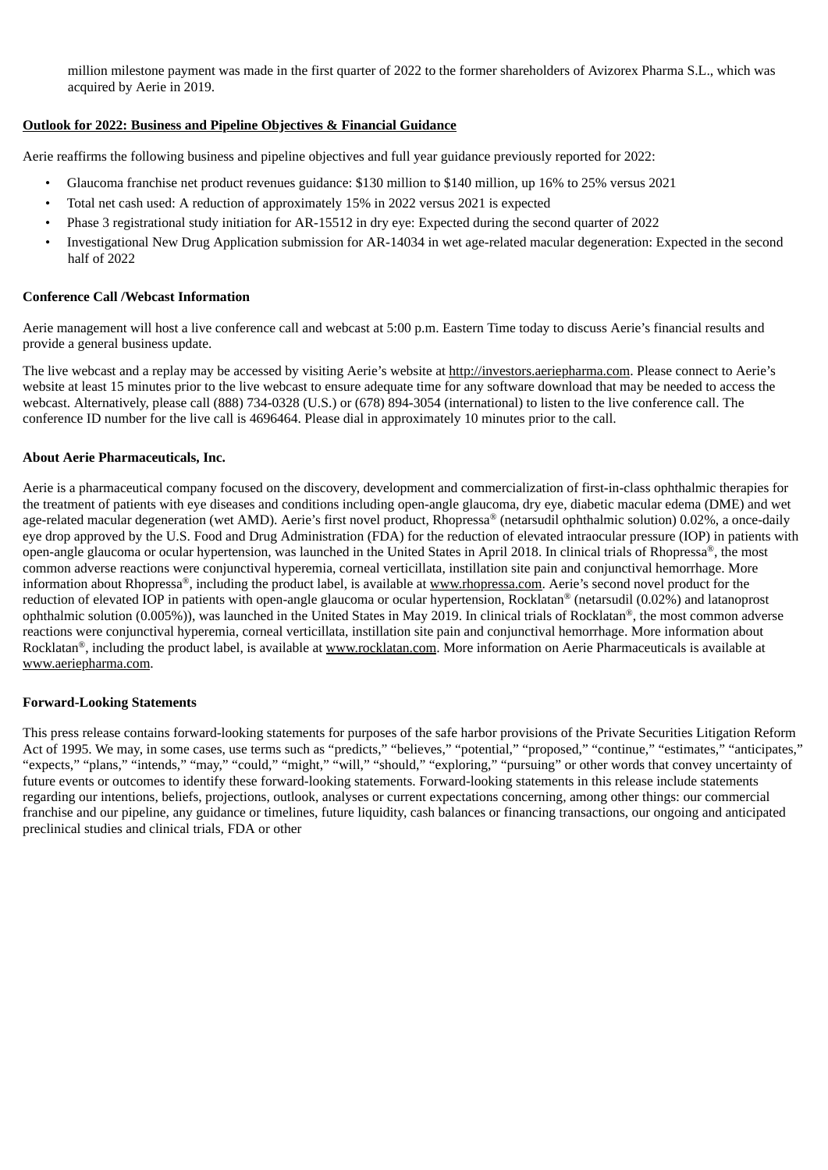million milestone payment was made in the first quarter of 2022 to the former shareholders of Avizorex Pharma S.L., which was acquired by Aerie in 2019.

#### **Outlook for 2022: Business and Pipeline Objectives & Financial Guidance**

Aerie reaffirms the following business and pipeline objectives and full year guidance previously reported for 2022:

- Glaucoma franchise net product revenues guidance: \$130 million to \$140 million, up 16% to 25% versus 2021
- Total net cash used: A reduction of approximately 15% in 2022 versus 2021 is expected
- Phase 3 registrational study initiation for AR-15512 in dry eye: Expected during the second quarter of 2022
- Investigational New Drug Application submission for AR-14034 in wet age-related macular degeneration: Expected in the second half of 2022

#### **Conference Call /Webcast Information**

Aerie management will host a live conference call and webcast at 5:00 p.m. Eastern Time today to discuss Aerie's financial results and provide a general business update.

The live webcast and a replay may be accessed by visiting Aerie's website at http://investors.aeriepharma.com. Please connect to Aerie's website at least 15 minutes prior to the live webcast to ensure adequate time for any software download that may be needed to access the webcast. Alternatively, please call (888) 734-0328 (U.S.) or (678) 894-3054 (international) to listen to the live conference call. The conference ID number for the live call is 4696464. Please dial in approximately 10 minutes prior to the call.

#### **About Aerie Pharmaceuticals, Inc.**

Aerie is a pharmaceutical company focused on the discovery, development and commercialization of first-in-class ophthalmic therapies for the treatment of patients with eye diseases and conditions including open-angle glaucoma, dry eye, diabetic macular edema (DME) and wet age-related macular degeneration (wet AMD). Aerie's first novel product, Rhopressa® (netarsudil ophthalmic solution) 0.02%, a once-daily eye drop approved by the U.S. Food and Drug Administration (FDA) for the reduction of elevated intraocular pressure (IOP) in patients with open-angle glaucoma or ocular hypertension, was launched in the United States in April 2018. In clinical trials of Rhopressa®, the most common adverse reactions were conjunctival hyperemia, corneal verticillata, instillation site pain and conjunctival hemorrhage. More information about Rhopressa®, including the product label, is available at www.rhopressa.com. Aerie's second novel product for the reduction of elevated IOP in patients with open-angle glaucoma or ocular hypertension, Rocklatan® (netarsudil (0.02%) and latanoprost ophthalmic solution (0.005%)), was launched in the United States in May 2019. In clinical trials of Rocklatan<sup>®</sup>, the most common adverse reactions were conjunctival hyperemia, corneal verticillata, instillation site pain and conjunctival hemorrhage. More information about Rocklatan®, including the product label, is available at <u>www.rocklatan.com</u>. More information on Aerie Pharmaceuticals is available at www.aeriepharma.com.

#### **Forward-Looking Statements**

This press release contains forward-looking statements for purposes of the safe harbor provisions of the Private Securities Litigation Reform Act of 1995. We may, in some cases, use terms such as "predicts," "believes," "potential," "proposed," "continue," "estimates," "anticipates," "expects," "plans," "intends," "may," "could," "might," "will," "should," "exploring," "pursuing" or other words that convey uncertainty of future events or outcomes to identify these forward-looking statements. Forward-looking statements in this release include statements regarding our intentions, beliefs, projections, outlook, analyses or current expectations concerning, among other things: our commercial franchise and our pipeline, any guidance or timelines, future liquidity, cash balances or financing transactions, our ongoing and anticipated preclinical studies and clinical trials, FDA or other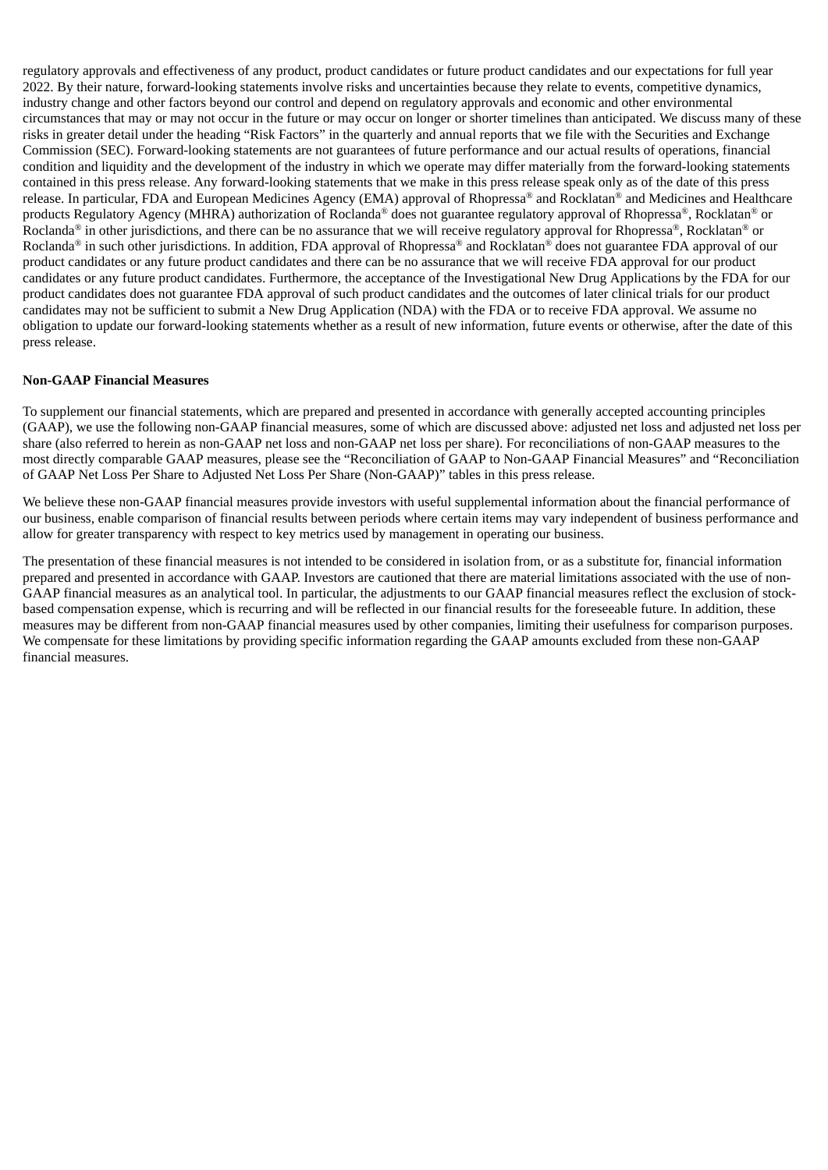regulatory approvals and effectiveness of any product, product candidates or future product candidates and our expectations for full year 2022. By their nature, forward-looking statements involve risks and uncertainties because they relate to events, competitive dynamics, industry change and other factors beyond our control and depend on regulatory approvals and economic and other environmental circumstances that may or may not occur in the future or may occur on longer or shorter timelines than anticipated. We discuss many of these risks in greater detail under the heading "Risk Factors" in the quarterly and annual reports that we file with the Securities and Exchange Commission (SEC). Forward-looking statements are not guarantees of future performance and our actual results of operations, financial condition and liquidity and the development of the industry in which we operate may differ materially from the forward-looking statements contained in this press release. Any forward-looking statements that we make in this press release speak only as of the date of this press release. In particular, FDA and European Medicines Agency (EMA) approval of Rhopressa® and Rocklatan® and Medicines and Healthcare products Regulatory Agency (MHRA) authorization of Roclanda® does not guarantee regulatory approval of Rhopressa®, Rocklatan® or Roclanda® in other jurisdictions, and there can be no assurance that we will receive regulatory approval for Rhopressa®, Rocklatan® or Roclanda® in such other jurisdictions. In addition, FDA approval of Rhopressa® and Rocklatan® does not guarantee FDA approval of our product candidates or any future product candidates and there can be no assurance that we will receive FDA approval for our product candidates or any future product candidates. Furthermore, the acceptance of the Investigational New Drug Applications by the FDA for our product candidates does not guarantee FDA approval of such product candidates and the outcomes of later clinical trials for our product candidates may not be sufficient to submit a New Drug Application (NDA) with the FDA or to receive FDA approval. We assume no obligation to update our forward-looking statements whether as a result of new information, future events or otherwise, after the date of this press release.

#### **Non-GAAP Financial Measures**

To supplement our financial statements, which are prepared and presented in accordance with generally accepted accounting principles (GAAP), we use the following non-GAAP financial measures, some of which are discussed above: adjusted net loss and adjusted net loss per share (also referred to herein as non-GAAP net loss and non-GAAP net loss per share). For reconciliations of non-GAAP measures to the most directly comparable GAAP measures, please see the "Reconciliation of GAAP to Non-GAAP Financial Measures" and "Reconciliation of GAAP Net Loss Per Share to Adjusted Net Loss Per Share (Non-GAAP)" tables in this press release.

We believe these non-GAAP financial measures provide investors with useful supplemental information about the financial performance of our business, enable comparison of financial results between periods where certain items may vary independent of business performance and allow for greater transparency with respect to key metrics used by management in operating our business.

The presentation of these financial measures is not intended to be considered in isolation from, or as a substitute for, financial information prepared and presented in accordance with GAAP. Investors are cautioned that there are material limitations associated with the use of non-GAAP financial measures as an analytical tool. In particular, the adjustments to our GAAP financial measures reflect the exclusion of stockbased compensation expense, which is recurring and will be reflected in our financial results for the foreseeable future. In addition, these measures may be different from non-GAAP financial measures used by other companies, limiting their usefulness for comparison purposes. We compensate for these limitations by providing specific information regarding the GAAP amounts excluded from these non-GAAP financial measures.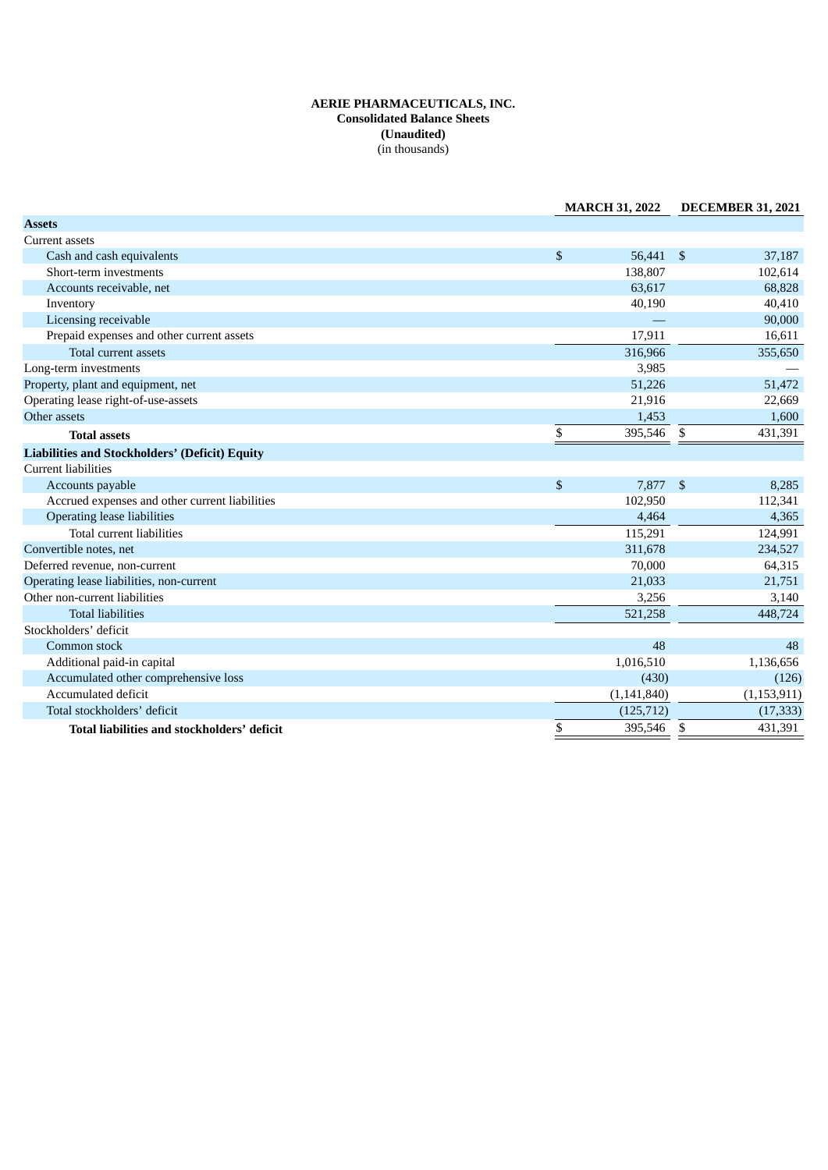#### **AERIE PHARMACEUTICALS, INC. Consolidated Balance Sheets (Unaudited)** (in thousands)

|                                                       | <b>MARCH 31, 2022</b> |                | <b>DECEMBER 31, 2021</b> |  |
|-------------------------------------------------------|-----------------------|----------------|--------------------------|--|
| <b>Assets</b>                                         |                       |                |                          |  |
| Current assets                                        |                       |                |                          |  |
| Cash and cash equivalents                             | \$<br>56,441          | $\mathfrak{S}$ | 37,187                   |  |
| Short-term investments                                | 138,807               |                | 102,614                  |  |
| Accounts receivable, net                              | 63,617                |                | 68,828                   |  |
| Inventory                                             | 40,190                |                | 40,410                   |  |
| Licensing receivable                                  |                       |                | 90,000                   |  |
| Prepaid expenses and other current assets             | 17,911                |                | 16,611                   |  |
| <b>Total current assets</b>                           | 316,966               |                | 355,650                  |  |
| Long-term investments                                 | 3,985                 |                |                          |  |
| Property, plant and equipment, net                    | 51,226                |                | 51,472                   |  |
| Operating lease right-of-use-assets                   | 21,916                |                | 22,669                   |  |
| Other assets                                          | 1,453                 |                | 1,600                    |  |
| <b>Total assets</b>                                   | \$<br>395,546         | \$             | 431,391                  |  |
| <b>Liabilities and Stockholders' (Deficit) Equity</b> |                       |                |                          |  |
| Current liabilities                                   |                       |                |                          |  |
| Accounts payable                                      | \$<br>7,877           | -\$            | 8,285                    |  |
| Accrued expenses and other current liabilities        | 102,950               |                | 112,341                  |  |
| <b>Operating lease liabilities</b>                    | 4,464                 |                | 4,365                    |  |
| Total current liabilities                             | 115,291               |                | 124,991                  |  |
| Convertible notes, net                                | 311,678               |                | 234,527                  |  |
| Deferred revenue, non-current                         | 70,000                |                | 64,315                   |  |
| Operating lease liabilities, non-current              | 21,033                |                | 21,751                   |  |
| Other non-current liabilities                         | 3,256                 |                | 3,140                    |  |
| <b>Total liabilities</b>                              | 521,258               |                | 448,724                  |  |
| Stockholders' deficit                                 |                       |                |                          |  |
| Common stock                                          | 48                    |                | 48                       |  |
| Additional paid-in capital                            | 1,016,510             |                | 1,136,656                |  |
| Accumulated other comprehensive loss                  | (430)                 |                | (126)                    |  |
| Accumulated deficit                                   | (1,141,840)           |                | (1, 153, 911)            |  |
| Total stockholders' deficit                           | (125, 712)            |                | (17, 333)                |  |
| Total liabilities and stockholders' deficit           | \$<br>395,546         | \$             | 431,391                  |  |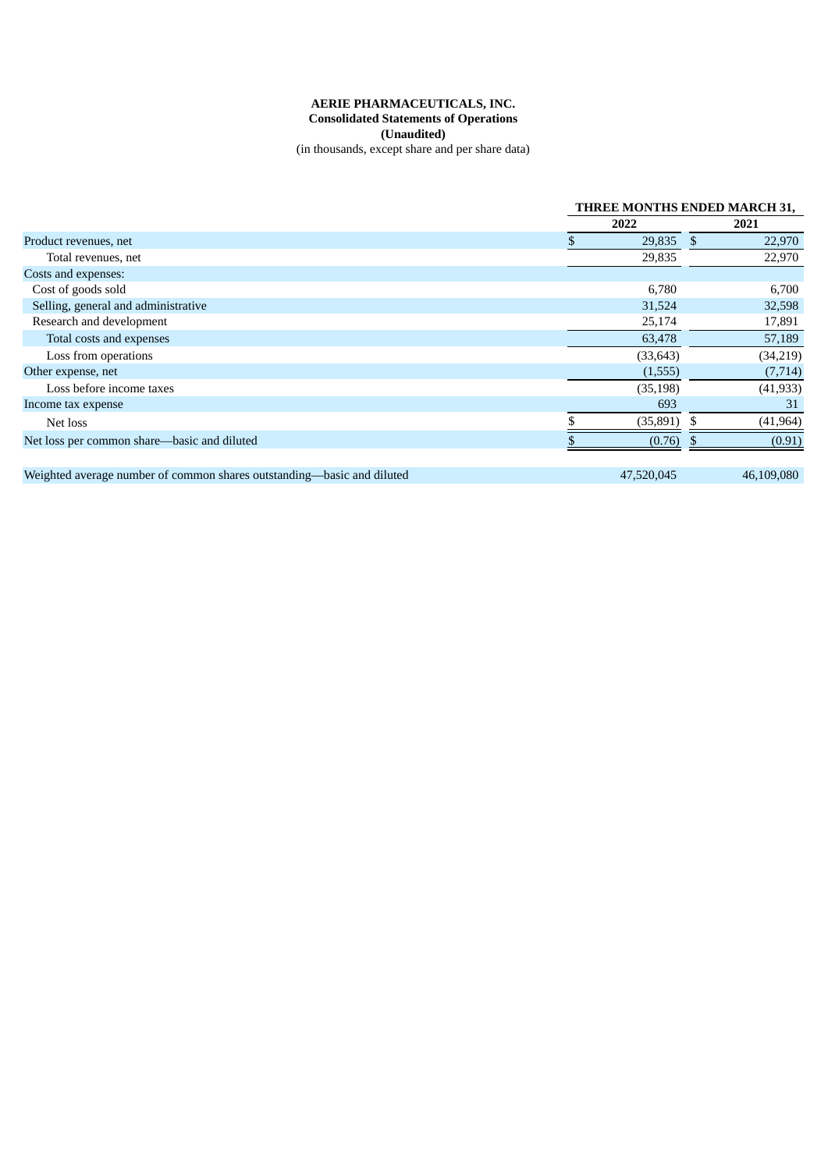#### **AERIE PHARMACEUTICALS, INC. Consolidated Statements of Operations (Unaudited)** (in thousands, except share and per share data)

|                                                                        |   | THREE MONTHS ENDED MARCH 31, |    |            |  |
|------------------------------------------------------------------------|---|------------------------------|----|------------|--|
|                                                                        |   | 2022                         |    | 2021       |  |
| Product revenues, net                                                  | S | 29,835                       | S  | 22,970     |  |
| Total revenues, net                                                    |   | 29,835                       |    | 22,970     |  |
| Costs and expenses:                                                    |   |                              |    |            |  |
| Cost of goods sold                                                     |   | 6,780                        |    | 6,700      |  |
| Selling, general and administrative                                    |   | 31,524                       |    | 32,598     |  |
| Research and development                                               |   | 25,174                       |    | 17,891     |  |
| Total costs and expenses                                               |   | 63,478                       |    | 57,189     |  |
| Loss from operations                                                   |   | (33, 643)                    |    | (34,219)   |  |
| Other expense, net                                                     |   | (1,555)                      |    | (7, 714)   |  |
| Loss before income taxes                                               |   | (35, 198)                    |    | (41, 933)  |  |
| Income tax expense                                                     |   | 693                          |    | 31         |  |
| Net loss                                                               |   | (35, 891)                    | S. | (41, 964)  |  |
| Net loss per common share—basic and diluted                            |   | (0.76)                       |    | (0.91)     |  |
|                                                                        |   |                              |    |            |  |
| Weighted average number of common shares outstanding—basic and diluted |   | 47,520,045                   |    | 46,109,080 |  |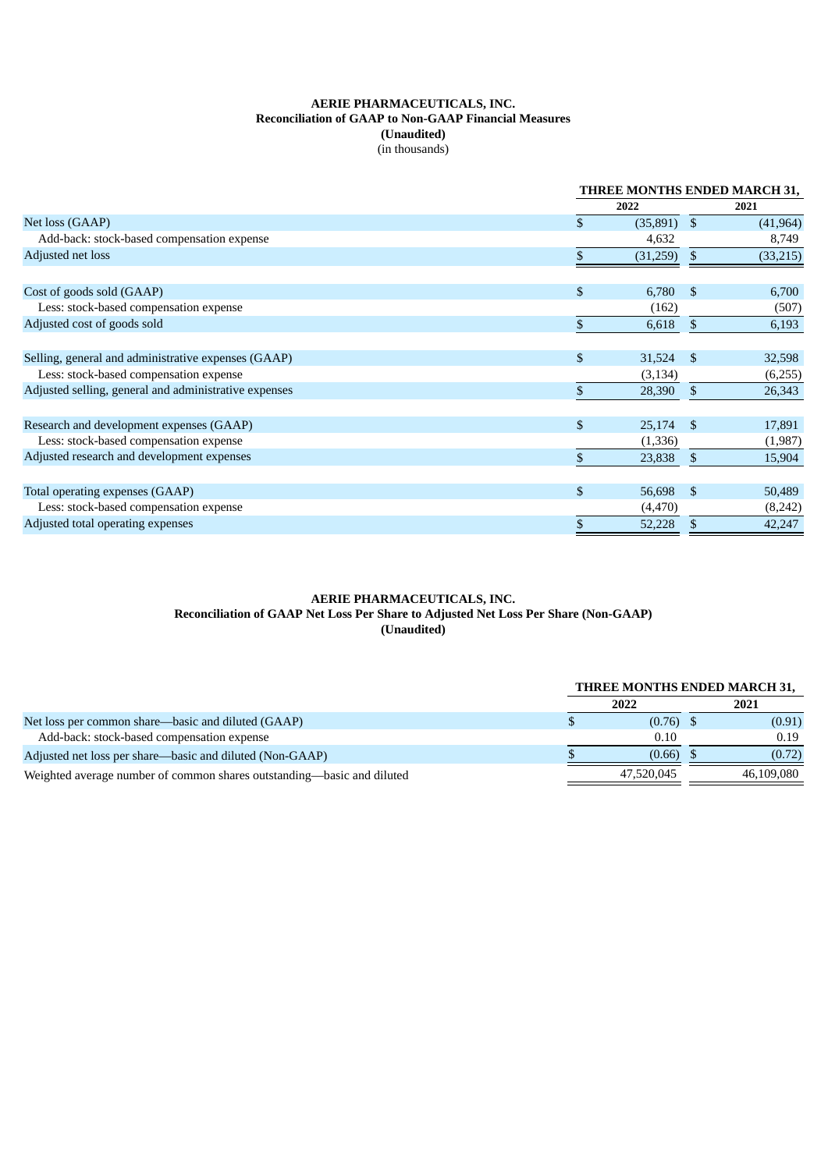#### **AERIE PHARMACEUTICALS, INC. Reconciliation of GAAP to Non-GAAP Financial Measures (Unaudited)** (in thousands)

|                                                       |     | THREE MONTHS ENDED MARCH 31, |           |  |
|-------------------------------------------------------|-----|------------------------------|-----------|--|
|                                                       |     | 2022                         | 2021      |  |
| Net loss (GAAP)                                       | \$  | (35,891)<br><sup>\$</sup>    | (41, 964) |  |
| Add-back: stock-based compensation expense            |     | 4,632                        | 8,749     |  |
| Adjusted net loss                                     |     | \$<br>(31,259)               | (33,215)  |  |
| Cost of goods sold (GAAP)                             | \$  | <sup>\$</sup><br>6,780       | 6,700     |  |
| Less: stock-based compensation expense                |     | (162)                        | (507)     |  |
| Adjusted cost of goods sold                           | \$  | 6,618<br>$\mathbb{S}$        | 6,193     |  |
| Selling, general and administrative expenses (GAAP)   | \$  | 31,524<br>\$                 | 32,598    |  |
| Less: stock-based compensation expense                |     | (3, 134)                     | (6,255)   |  |
| Adjusted selling, general and administrative expenses | \$. | $\mathfrak{S}$<br>28,390     | 26,343    |  |
| Research and development expenses (GAAP)              | \$  | 25,174<br>-\$                | 17,891    |  |
| Less: stock-based compensation expense                |     | (1,336)                      | (1,987)   |  |
| Adjusted research and development expenses            | \$  | 23,838<br><sup>\$</sup>      | 15,904    |  |
| Total operating expenses (GAAP)                       | \$  | 56,698<br><sup>\$</sup>      | 50,489    |  |
| Less: stock-based compensation expense                |     | (4, 470)                     | (8,242)   |  |
| Adjusted total operating expenses                     | \$  | 52,228<br>\$                 | 42,247    |  |

#### **AERIE PHARMACEUTICALS, INC. Reconciliation of GAAP Net Loss Per Share to Adjusted Net Loss Per Share (Non-GAAP) (Unaudited)**

|                                                                        | THREE MONTHS ENDED MARCH 31, |  |            |  |
|------------------------------------------------------------------------|------------------------------|--|------------|--|
|                                                                        | 2022                         |  | 2021       |  |
| Net loss per common share—basic and diluted (GAAP)                     | $(0.76)$ \$                  |  | (0.91)     |  |
| Add-back: stock-based compensation expense                             | 0.10                         |  | 0.19       |  |
| Adjusted net loss per share—basic and diluted (Non-GAAP)               | (0.66)                       |  | (0.72)     |  |
| Weighted average number of common shares outstanding—basic and diluted | 47,520,045                   |  | 46,109,080 |  |